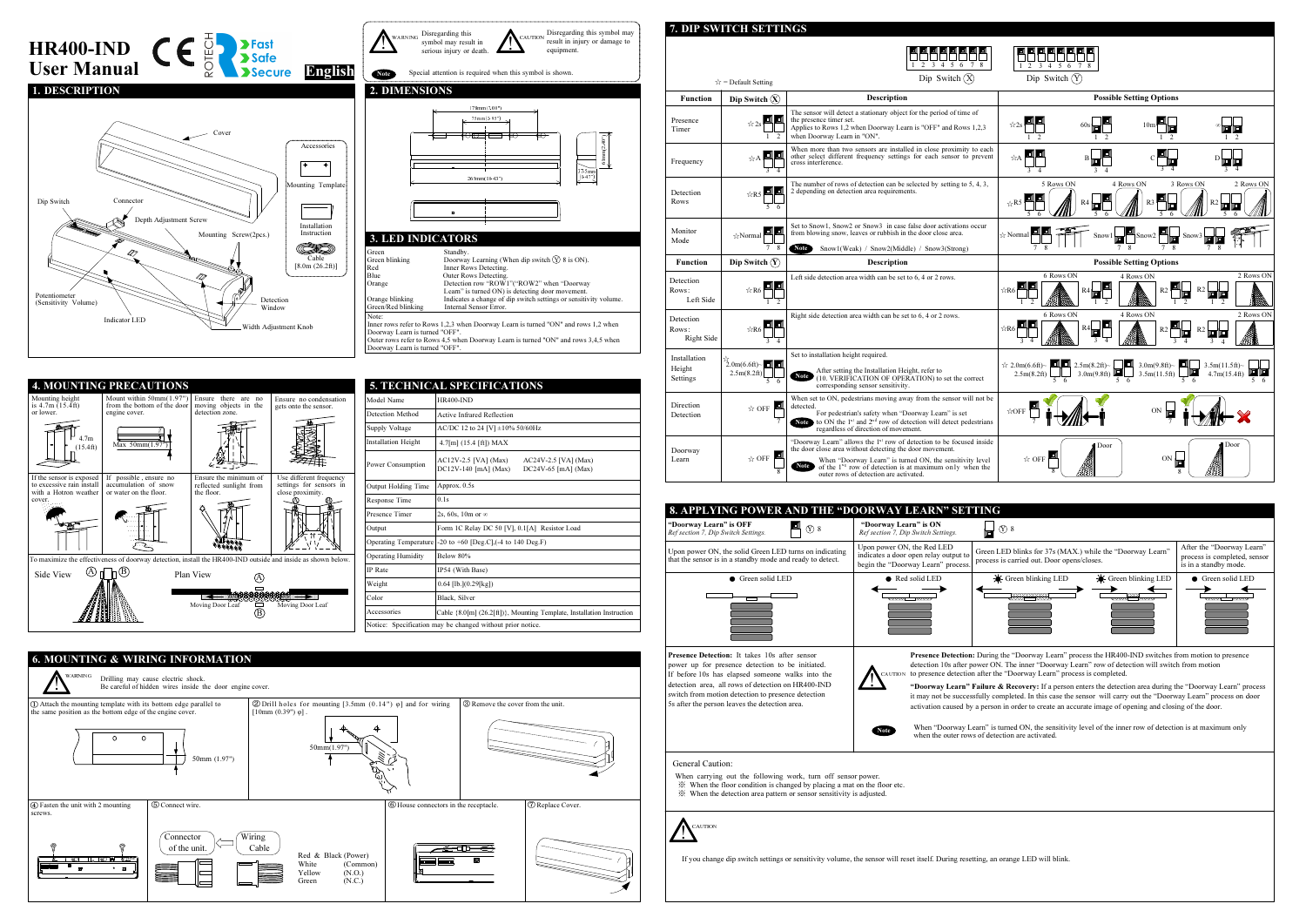## 7. DIP SWITCH SETTINGS

Disregarding this

W A RNING

!

serious injury or death.





| <b>5. TECHNICAL SPECIFICATIONS</b> |                                                                                                 |  |  |  |
|------------------------------------|-------------------------------------------------------------------------------------------------|--|--|--|
| Model Name                         | <b>HR400-IND</b>                                                                                |  |  |  |
| Detection Method                   | Active Infrared Reflection                                                                      |  |  |  |
| <b>Supply Voltage</b>              | AC/DC 12 to 24 [V] ±10% 50/60Hz                                                                 |  |  |  |
| <b>Installation Height</b>         | $4.7$ [m] $(15.4$ [ft]) MAX                                                                     |  |  |  |
| Power Consumption                  | $AC12V-2.5$ [VA] (Max)<br>AC24V-2.5 [VA] (Max)<br>DC12V-140 [mA] (Max)<br>DC24V-65 $[mA]$ (Max) |  |  |  |
| Output Holding Time                | Approx. 0.5s                                                                                    |  |  |  |
| Response Time                      | 0.1s                                                                                            |  |  |  |
| Presence Timer                     | 2s, 60s, 10m or $\infty$                                                                        |  |  |  |
| Output                             | Form 1C Relay DC 50 [V], 0.1[A] Resistor Load                                                   |  |  |  |
| Operating Temperature              | $-20$ to $+60$ [Deg.C], $(-4$ to 140 Deg.F)                                                     |  |  |  |
| <b>Operating Humidity</b>          | Below 80%                                                                                       |  |  |  |
| <b>IP</b> Rate                     | IP54 (With Base)                                                                                |  |  |  |
| Weight                             | $0.64$ [lb.] $(0.29$ [kg])                                                                      |  |  |  |
| Color                              | Black, Silver                                                                                   |  |  |  |
| Accessories                        | Cable {8.0[m] (26.2[ft])}, Mounting Template, Installation Instruction                          |  |  |  |
|                                    | Notice: Specification may be changed without prior notice.                                      |  |  |  |





|                                           | $\hat{x}$ = Default Setting                   | 3<br>$\overline{4}$<br>5<br>6<br>Dip Switch $(X)$                                                                                                                                                                                                                                                                                     |
|-------------------------------------------|-----------------------------------------------|---------------------------------------------------------------------------------------------------------------------------------------------------------------------------------------------------------------------------------------------------------------------------------------------------------------------------------------|
| <b>Function</b>                           | Dip Switch $(X)$                              | <b>Description</b>                                                                                                                                                                                                                                                                                                                    |
| Presence<br>Timer                         | 7                                             | The sensor will detect a stationary object for the period of time of<br>the presence timer set.<br>Applies to Rows 1,2 when Doorway Learn is "OFF" and Rows 1,2,3<br>when Doorway Learn in "ON".                                                                                                                                      |
| Frequency                                 |                                               | When more than two sensors are installed in close proximity to each<br>other select different frequency settings for each sensor to prevent<br>cross interference.                                                                                                                                                                    |
| Detection<br>Rows                         | ☆R5                                           | The number of rows of detection can be selected by setting to 5, 4, 3,<br>2 depending on detection area requirements.                                                                                                                                                                                                                 |
| Monitor<br>Mode                           | ☆Normal<br>8                                  | Set to Snow1, Snow2 or Snow3 in case false door activations occur<br>from blowing snow, leaves or rubbish in the door close area.<br><b>Note</b><br>Snow1(Weak) / Snow2(Middle) / Snow3(Strong)                                                                                                                                       |
| <b>Function</b>                           | Dip Switch $(Y)$                              | <b>Description</b>                                                                                                                                                                                                                                                                                                                    |
| Detection<br>Rows:<br>Left Side           | $\forall$ R6                                  | Left side detection area width can be set to 6, 4 or 2 rows.                                                                                                                                                                                                                                                                          |
| Detection<br>Rows:<br>Right Side          | ☆R6<br>3                                      | Right side detection area width can be set to 6, 4 or 2 rows.                                                                                                                                                                                                                                                                         |
| <b>Installation</b><br>Height<br>Settings | $\overrightarrow{2.0m(6.6ft)}$<br>2.5m(8.2ft) | Set to installation height required.<br>After setting the Installation Height, refer to<br><b>Note</b><br>(10. VERIFICATION OF OPERATION) to set the correct<br>corresponding sensor sensitivity.                                                                                                                                     |
| Direction<br>Detection                    | $\stackrel{\leftrightarrow}{\propto}$ OFF     | When set to ON, pedestrians moving away from the sensor will not be<br>detected.<br>For pedestrian's safety when "Doorway Learn" is set<br>to ON the $1st$ and $2nd$ row of detection will detect pedestrians regardless of direction of movement.<br>Note                                                                            |
| Doorway<br>Learn                          | $\triangle$ OFF                               | "Doorway Learn" allows the 1 <sup>st</sup> row of detection to be focused inside the door close area without detecting the door movement.<br>When "Doorway Learn" is turned ON, the sensitivity level<br><b>Note</b><br>of the 1 <sup>st</sup> row of detection is at maximum only when the<br>outer rows of detection are activated. |



UTIO N

Disregarding this symbol may<br>result in injury or damage to<br>equipment.

!



CAUTION !

If you change dip switch settings or sensitivity volume, the sensor will reset itself. During resetting, an orange LED will blink.